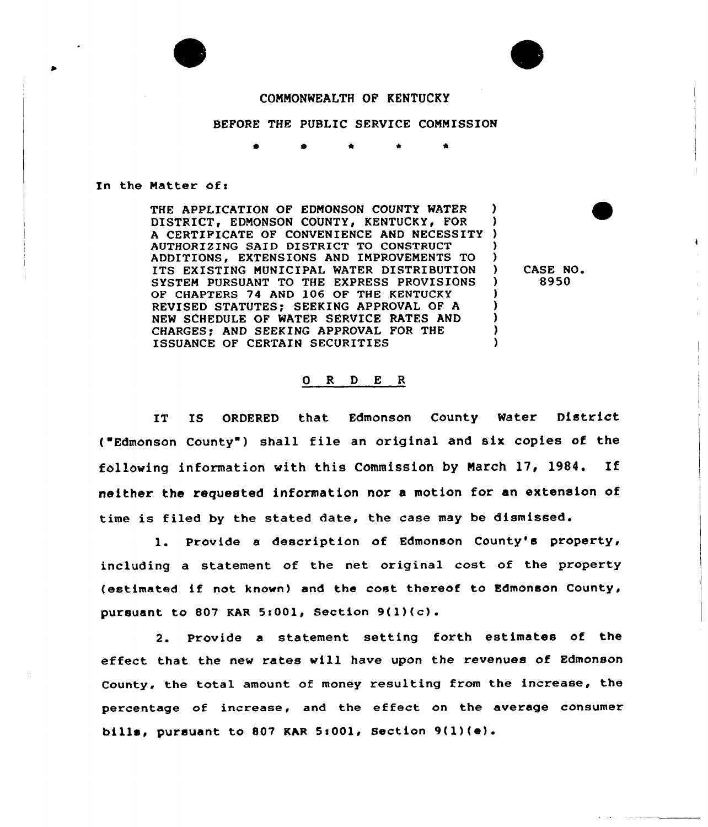## CONNONWEALTH OP KENTUCKY

BEFORE THE PUBLIC SERVICE COMMISSION

## In the Matter of:

THE APPLICATION OF EDMONSON COUNTY WATER DISTRICT, EDMONSON COUNTY, KENTUCKY, FOR A CERTIFICATE OF CONVENIENCE AND NECESSITY ) AUTHORIZING SAID DISTRICT TO CONSTRUCT ADDITIONS, EXTENSIONS AND IMPROVEMENTS TO ) ITS EXISTING MUNICIPAL WATER DISTRIBUTION )<br>system pursuant to the express provisions ) SYSTEM PURSUANT TO THE EXPRESS PROVISIONS OF CHAPTERS 74 AND 106 OF THE KENTUCKY REVISED STATUTES; SEEKING APPROVAL OF A ) NEW SCHEDULE OF WATER SERVICE RATES AND CHARGES: AND SEEKING APPROVAL FOR THE ISSUANCE OF CERTAIN SECURITIES

CASE NO. 8950

## ORDER

IT XS ORDERED that Edmonson County Water District ( Edmonson County ) shall file an original and six copies of the following information with this Commission by Narch 17, 1984. If neither the requested information nor a motion for an extension of time is filed by the stated date, the case may be dismissed.

1. Provide <sup>a</sup> description of Edmonson County's property, including a statement of the net original cost of the property (estimated if not known) and the cost thereof to Edmonson County, pursuant to 807 KAR 5:001, Section  $9(1)(c)$ .

2. Provide a statement setting forth estimates of the effect that the new rates will have upon the revenues of Edmonson County, the total amount of money resulting from the increase, the percentage of increase, and the effect on the average consumer bills, pursuant to 807 KAR 5:001, Section 9(1)(e).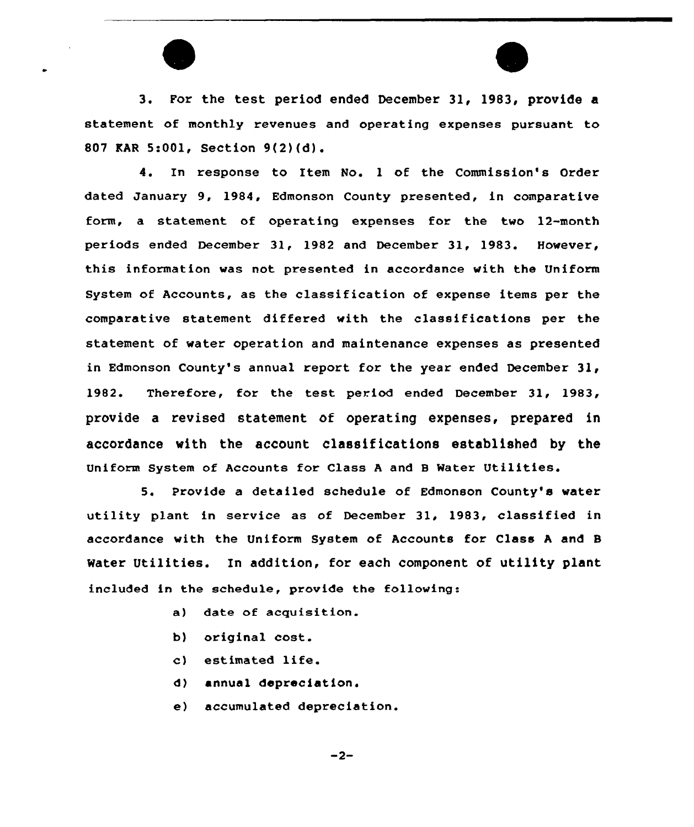



3. For the test period ended December 31, 1983, provide a statement of monthly revenues and operating expenses pursuant to 807 KAR 5:001, Section 9(2)(d).

4. In response to Item No. <sup>1</sup> of the Commission's Order dated January 9, 1984, Edmonson County presented, in comparative form, a statement of operating expenses for the two 12-month periods ended December 31, 1982 and December 31, 1983. However, this information was not presented in accordance with the Uniform System of Accounts, as the classification of expense items per the comparative statement differed with the classifications per the statement of water operation and maintenance expenses as presented in Edmonson County's annual report for the year ended December 31, 1982. Therefore, for the test period ended December 31, 1983, provide a revised statement of operating expenses, prepared in accordance with the account classifications established by the Uniform System of Accounts for Class <sup>A</sup> and 8 Water Utilities.

5. Provide a detailed schedule of Edmonson County's water utility plant in service as of December 31, 1983, classified in accordance with the Uniform System of Accounts for Class <sup>A</sup> and S Water Utilities. In addition, for each component of utility plant included in the schedule, provide the following:

- a) date of acquisition.
- b) original cost.
- c) estimated life.
- d) annual depreciation.
- e) accumulated depreciation.

 $-2-$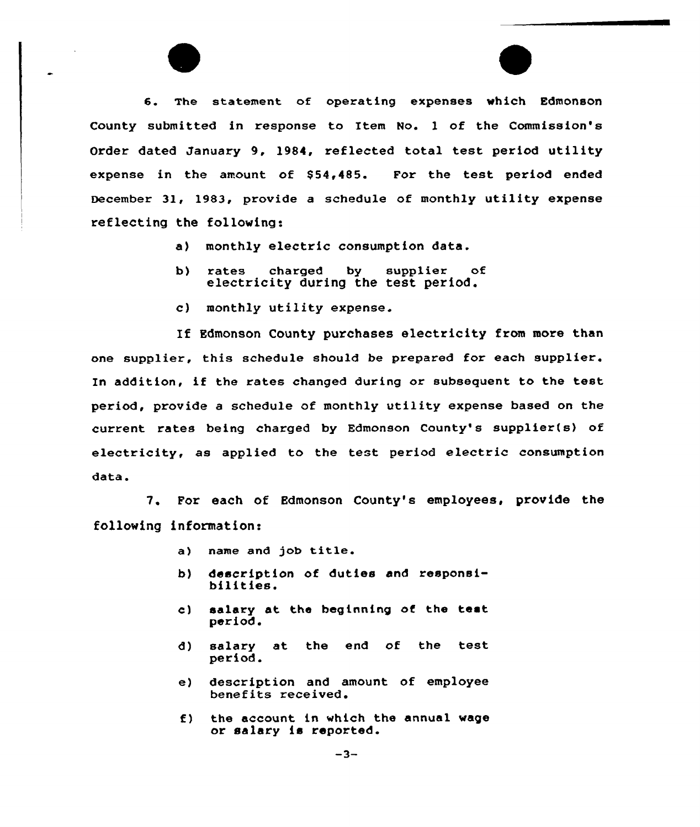6. The statement of operating expenses which Edmonson County submitted in response to Item No. 1 of the Commission's Order dated January 9, 1984, reflected total test pexiod utility expense in the amount of \$54,485. For the test period ended December 31, 1983, provide a schedule of monthly utility expense reflecting the following:

- a) monthly electric consumption data.
- b) rates charged by supplier of electricity during the test period.
- c) monthly utility expense.

If Edmonson County purchases electricity from more than one supplier, this schedule should be prepared for each supplier. In addition, if the rates changed during or subsequent to the test period, provide <sup>a</sup> schedule of monthly utility expense based on the current rates being charged by Edmonson County's supplier(s) of electricity, as applied to the test period electric consumption data.

7. For each of Edmonson County's employees, provide the following information:

- a) name and job title.
- b) description of duties and responsi- bilities.
- c) salary at the beginning of the test period.
- d) salary at the end of the test period.
- e) description and amount of employee benefits received.
- f) the account in which the annual wage or salary is reported.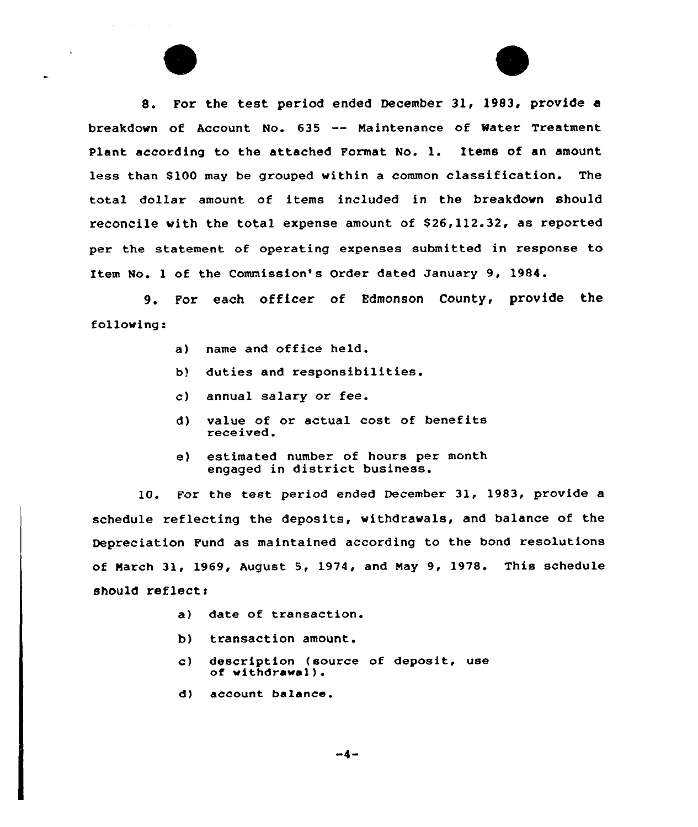8. For the test period ended December 31, 1983, provide a breakdown of Account No. <sup>635</sup> -- Naintenance of Mater Treatment Plant according to the attached Format No. l. Items of an amount less than 8100 may be grouped within a common classification. The total dollar amount of items included in the breakdown should reconcile with the total expense amount of \$26,112.32, as reported per the statement of operating expenses submitted in response to Item No. <sup>1</sup> of the Commission's Order dated January 9, 1984.

9. For each officer of Edmonson County, provide the following:

- a) name and office held.
- b} duties and responsibilities.
- c) annual salary or fee.
- d) value of or actual cost. of benefits received.
- e) estimated number of hours per month engaged in district business.

10. For the test period ended December 31, 1983, provide a schedule reflecting the deposits, withdrawals, and balance of the Depreciation Fund as maintained according to the bond resolutions of Narch 31, 1969, August 5, 1974, and May 9, 1978. This schedule should reflect:

- a) date of transaction.
- b) transaction amount.
- c) description (source of deposit, use of withdrawal).
- d) account balance.

 $-4-$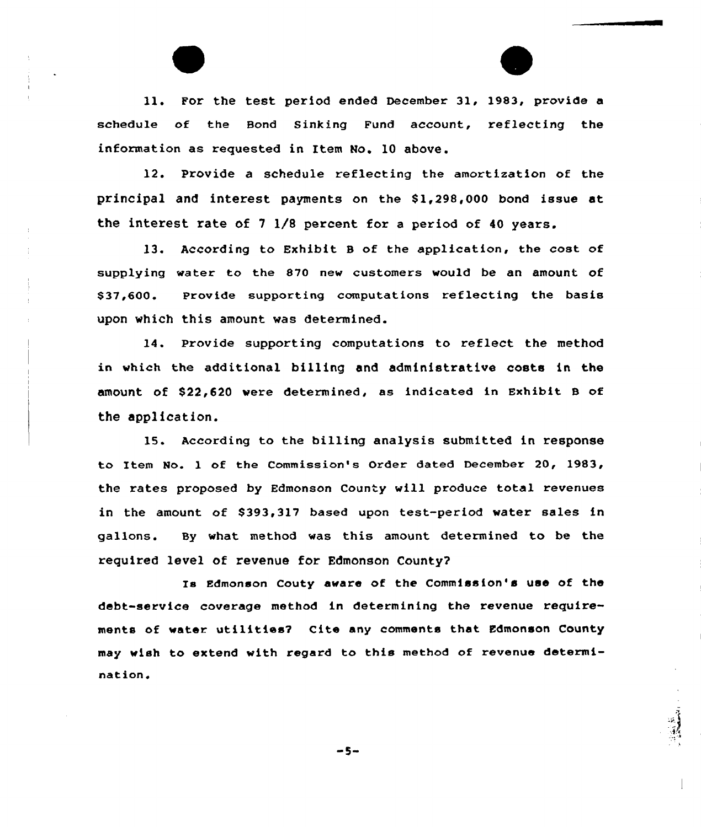ll. For the test period ended December 31, 1983, provide <sup>a</sup> schedule of the Bond Sinking Fund account, reflecting the information as requested in Item No. 10 above.

12. Provide a schedule reflecting the amortization of the principal and interest payments on the 81,298,000 bond issue at the interest rate of <sup>7</sup> 1/8 percent for a period of 40 years.

13. According to Exhibit B of the application, the cost of supplying water to the 870 new customers would be an amount of S32,600. Provide supporting computations reflecting the basis upon which this amount was determined.

14. Provide supporting computations to reflect the method in which the additional billing and administrative costs in the amount of \$22,620 were determined, as indicated in Exhibit B of the application.

15. According to the billing analysis submitted in response to Item No. 1 of the Commission's Order dated December 20, 1983, the rates proposed by Edmonson County will produce total revenues in the amount of 8393,317 based upon test-period water sales in gallons. By what method was this amount determined to be the required level of revenue for Edmonson County's

Edmonson Couty aware of the Commission's use of the debt-service coverage method in determining the revenue requirements of water utilities? Cite any comments that Edmonson County may wish to extend with regard to this method of revenue determination.

 $-5-$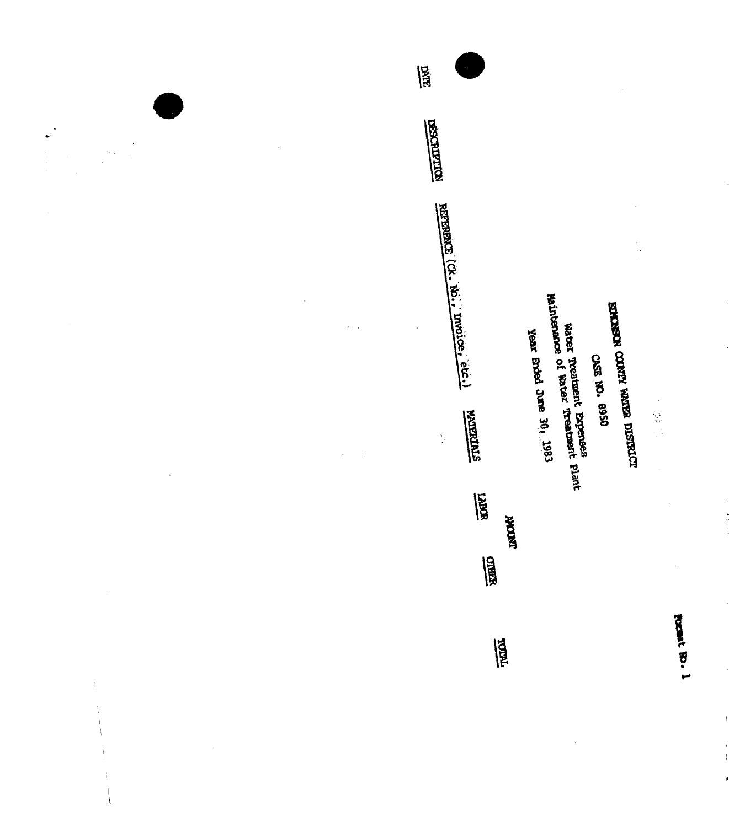~ 8

USO COLLA ALIADO NOSADAES<br>EDANSE VELICA ALIADO NOSADAES

CASE NO. 9950<br>Water Treatment Expenses<br>Waintenance of Water Treatment plant

year maed June 30, 1983

**REA INDOWN** 圖 冒

E

 $\frac{1}{2}$ 

 $\sim$  .

 $\frac{1}{4}$ 

 $\frac{1}{2}$ 

**STATEMENT** 

م<br>ا 8

L 眉 **NOTIFIERS** 

 $\begin{bmatrix} 1 \\ 1 \\ 1 \\ 1 \end{bmatrix}$